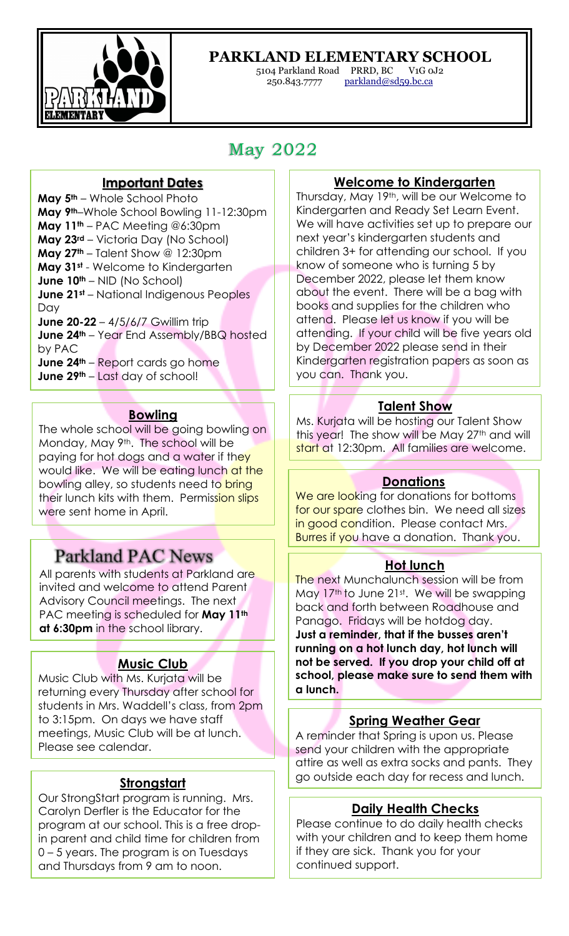

# **PARKLAND ELEMENTARY SCHOOL**

5104 Parkland Road PRRD, BC V1G 0J2 parkland@sd59.bc.ca

# May 2022

### **Important Dates**

**May 5th** – Whole School Photo **May 9th**–Whole School Bowling 11-12:30pm **May 11th** – PAC Meeting @6:30pm **May 23rd** – Victoria Day (No School) **May 27th** – Talent Show @ 12:30pm **May 31st** - Welcome to Kindergarten **June 10th** – NID (No School) **June 21st** – National Indigenous Peoples Day **June 20-22** – 4/5/6/7 Gwillim trip **June 24<sup>th</sup>** – Year End Assembly/BBQ hosted by PAC **June 24th** – Report cards go home **June 29th** – Last day of school!

### **Bowling**

The whole school will be going bowling on Monday, May 9th. The school will be paying for hot dogs and a water if they would like. We will be eating lunch at the bowling alley, so students need to bring their lunch kits with them. Permission slips were sent home in April.

# **Parkland PAC News**

All parents with students at Parkland are invited and welcome to attend Parent Advisory Council meetings. The next PAC meeting is scheduled for **May 11th at 6:30pm** in the school library.

# **Music Club**

Music Club with Ms. Kurjata will be returning every Thursday after school for students in Mrs. Waddell's class, from 2pm to 3:15pm. On days we have staff meetings, Music Club will be at lunch. Please see calendar.

# **Strongstart**

Our StrongStart program is running. Mrs. Carolyn Derfler is the Educator for the program at our school. This is a free dropin parent and child time for children from 0 – 5 years. The program is on Tuesdays and Thursdays from 9 am to noon.

## **Welcome to Kindergarten**

Thursday, May 19th, will be our Welcome to Kindergarten and Ready Set Learn Event. We will have activities set up to prepare our next year's kindergarten students and children 3+ for attending our school. If you know of someone who is turning 5 by December 2022, please let them know about the event. There will be a bag with books and supplies for the children who attend. Please let us know if you will be attending. If your child will be five years old by December 2022 please send in their Kindergarten registration papers as soon as you can. Thank you.

#### **Talent Show**

Ms. Kurjata will be hosting our Talent Show this year! The show will be May 27<sup>th</sup> and will start at 12:30pm. All families are welcome.

#### **Donations**

We are looking for donations for bottoms for our spare clothes bin. We need all sizes in good condition. Please contact Mrs. Burres if you have a donation. Thank you.

#### **Hot lunch**

The next Munchalunch session will be from May 17<sup>th</sup> to June 21<sup>st</sup>. We will be swapping back and forth between Roadhouse and Panago. Fridays will be hotdog day. **Just a reminder, that if the busses aren't running on a hot lunch day, hot lunch will not be served. If you drop your child off at school, please make sure to send them with a lunch.** 

# **Spring Weather Gear**

A reminder that Spring is upon us. Please send your children with the appropriate attire as well as extra socks and pants. They go outside each day for recess and lunch.

# **Daily Health Checks**

Please continue to do daily health checks with your children and to keep them home if they are sick. Thank you for your continued support.